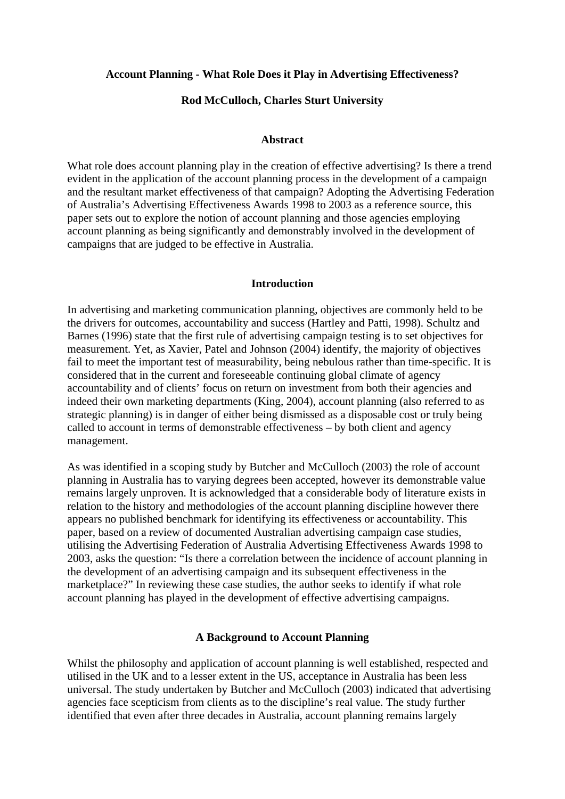#### **Account Planning - What Role Does it Play in Advertising Effectiveness?**

#### **Rod McCulloch, Charles Sturt University**

#### **Abstract**

What role does account planning play in the creation of effective advertising? Is there a trend evident in the application of the account planning process in the development of a campaign and the resultant market effectiveness of that campaign? Adopting the Advertising Federation of Australia's Advertising Effectiveness Awards 1998 to 2003 as a reference source, this paper sets out to explore the notion of account planning and those agencies employing account planning as being significantly and demonstrably involved in the development of campaigns that are judged to be effective in Australia.

#### **Introduction**

In advertising and marketing communication planning, objectives are commonly held to be the drivers for outcomes, accountability and success (Hartley and Patti, 1998). Schultz and Barnes (1996) state that the first rule of advertising campaign testing is to set objectives for measurement. Yet, as Xavier, Patel and Johnson (2004) identify, the majority of objectives fail to meet the important test of measurability, being nebulous rather than time-specific. It is considered that in the current and foreseeable continuing global climate of agency accountability and of clients' focus on return on investment from both their agencies and indeed their own marketing departments (King, 2004), account planning (also referred to as strategic planning) is in danger of either being dismissed as a disposable cost or truly being called to account in terms of demonstrable effectiveness – by both client and agency management.

As was identified in a scoping study by Butcher and McCulloch (2003) the role of account planning in Australia has to varying degrees been accepted, however its demonstrable value remains largely unproven. It is acknowledged that a considerable body of literature exists in relation to the history and methodologies of the account planning discipline however there appears no published benchmark for identifying its effectiveness or accountability. This paper, based on a review of documented Australian advertising campaign case studies, utilising the Advertising Federation of Australia Advertising Effectiveness Awards 1998 to 2003, asks the question: "Is there a correlation between the incidence of account planning in the development of an advertising campaign and its subsequent effectiveness in the marketplace?" In reviewing these case studies, the author seeks to identify if what role account planning has played in the development of effective advertising campaigns.

#### **A Background to Account Planning**

Whilst the philosophy and application of account planning is well established, respected and utilised in the UK and to a lesser extent in the US, acceptance in Australia has been less universal. The study undertaken by Butcher and McCulloch (2003) indicated that advertising agencies face scepticism from clients as to the discipline's real value. The study further identified that even after three decades in Australia, account planning remains largely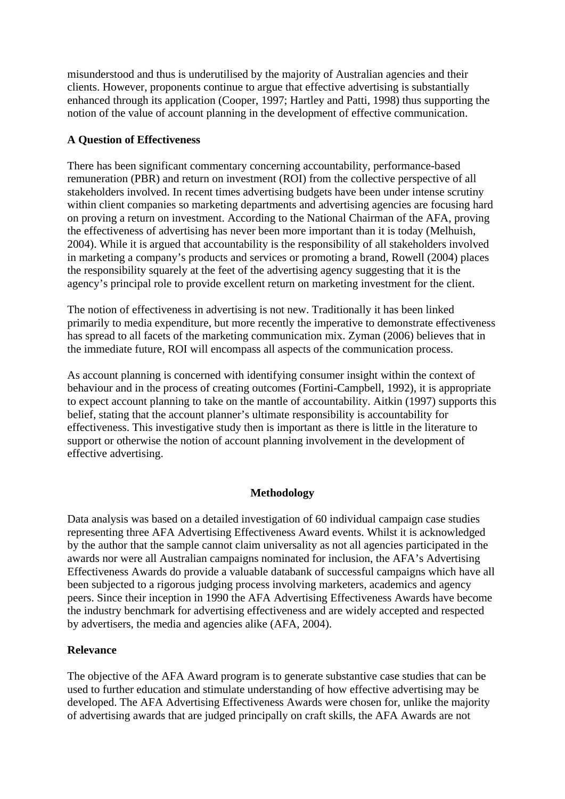misunderstood and thus is underutilised by the majority of Australian agencies and their clients. However, proponents continue to argue that effective advertising is substantially enhanced through its application (Cooper, 1997; Hartley and Patti, 1998) thus supporting the notion of the value of account planning in the development of effective communication.

# **A Question of Effectiveness**

There has been significant commentary concerning accountability, performance-based remuneration (PBR) and return on investment (ROI) from the collective perspective of all stakeholders involved. In recent times advertising budgets have been under intense scrutiny within client companies so marketing departments and advertising agencies are focusing hard on proving a return on investment. According to the National Chairman of the AFA, proving the effectiveness of advertising has never been more important than it is today (Melhuish, 2004). While it is argued that accountability is the responsibility of all stakeholders involved in marketing a company's products and services or promoting a brand, Rowell (2004) places the responsibility squarely at the feet of the advertising agency suggesting that it is the agency's principal role to provide excellent return on marketing investment for the client.

The notion of effectiveness in advertising is not new. Traditionally it has been linked primarily to media expenditure, but more recently the imperative to demonstrate effectiveness has spread to all facets of the marketing communication mix. Zyman (2006) believes that in the immediate future, ROI will encompass all aspects of the communication process.

As account planning is concerned with identifying consumer insight within the context of behaviour and in the process of creating outcomes (Fortini-Campbell, 1992), it is appropriate to expect account planning to take on the mantle of accountability. Aitkin (1997) supports this belief, stating that the account planner's ultimate responsibility is accountability for effectiveness. This investigative study then is important as there is little in the literature to support or otherwise the notion of account planning involvement in the development of effective advertising.

# **Methodology**

Data analysis was based on a detailed investigation of 60 individual campaign case studies representing three AFA Advertising Effectiveness Award events. Whilst it is acknowledged by the author that the sample cannot claim universality as not all agencies participated in the awards nor were all Australian campaigns nominated for inclusion, the AFA's Advertising Effectiveness Awards do provide a valuable databank of successful campaigns which have all been subjected to a rigorous judging process involving marketers, academics and agency peers. Since their inception in 1990 the AFA Advertising Effectiveness Awards have become the industry benchmark for advertising effectiveness and are widely accepted and respected by advertisers, the media and agencies alike (AFA, 2004).

# **Relevance**

The objective of the AFA Award program is to generate substantive case studies that can be used to further education and stimulate understanding of how effective advertising may be developed. The AFA Advertising Effectiveness Awards were chosen for, unlike the majority of advertising awards that are judged principally on craft skills, the AFA Awards are not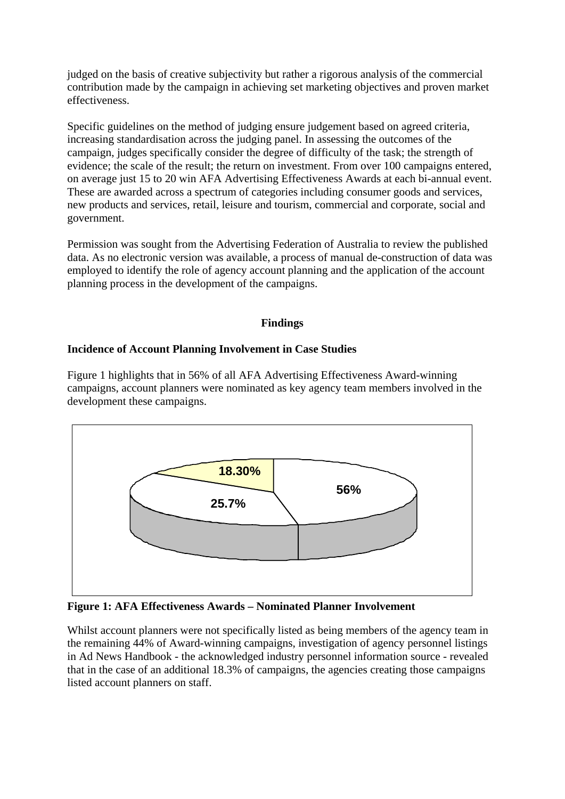judged on the basis of creative subjectivity but rather a rigorous analysis of the commercial contribution made by the campaign in achieving set marketing objectives and proven market effectiveness.

Specific guidelines on the method of judging ensure judgement based on agreed criteria, increasing standardisation across the judging panel. In assessing the outcomes of the campaign, judges specifically consider the degree of difficulty of the task; the strength of evidence; the scale of the result; the return on investment. From over 100 campaigns entered, on average just 15 to 20 win AFA Advertising Effectiveness Awards at each bi-annual event. These are awarded across a spectrum of categories including consumer goods and services, new products and services, retail, leisure and tourism, commercial and corporate, social and government.

Permission was sought from the Advertising Federation of Australia to review the published data. As no electronic version was available, a process of manual de-construction of data was employed to identify the role of agency account planning and the application of the account planning process in the development of the campaigns.

# **Findings**

#### **Incidence of Account Planning Involvement in Case Studies**

Figure 1 highlights that in 56% of all AFA Advertising Effectiveness Award-winning campaigns, account planners were nominated as key agency team members involved in the development these campaigns.



**Figure 1: AFA Effectiveness Awards – Nominated Planner Involvement** 

Whilst account planners were not specifically listed as being members of the agency team in the remaining 44% of Award-winning campaigns, investigation of agency personnel listings in Ad News Handbook - the acknowledged industry personnel information source - revealed that in the case of an additional 18.3% of campaigns, the agencies creating those campaigns listed account planners on staff.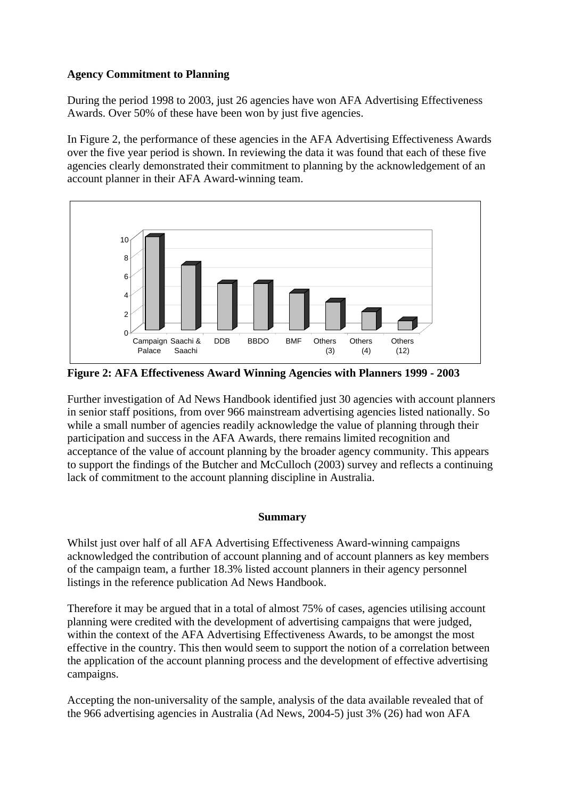# **Agency Commitment to Planning**

During the period 1998 to 2003, just 26 agencies have won AFA Advertising Effectiveness Awards. Over 50% of these have been won by just five agencies.

In Figure 2, the performance of these agencies in the AFA Advertising Effectiveness Awards over the five year period is shown. In reviewing the data it was found that each of these five agencies clearly demonstrated their commitment to planning by the acknowledgement of an account planner in their AFA Award-winning team.



**Figure 2: AFA Effectiveness Award Winning Agencies with Planners 1999 - 2003** 

Further investigation of Ad News Handbook identified just 30 agencies with account planners in senior staff positions, from over 966 mainstream advertising agencies listed nationally. So while a small number of agencies readily acknowledge the value of planning through their participation and success in the AFA Awards, there remains limited recognition and acceptance of the value of account planning by the broader agency community. This appears to support the findings of the Butcher and McCulloch (2003) survey and reflects a continuing lack of commitment to the account planning discipline in Australia.

# **Summary**

Whilst just over half of all AFA Advertising Effectiveness Award-winning campaigns acknowledged the contribution of account planning and of account planners as key members of the campaign team, a further 18.3% listed account planners in their agency personnel listings in the reference publication Ad News Handbook.

Therefore it may be argued that in a total of almost 75% of cases, agencies utilising account planning were credited with the development of advertising campaigns that were judged, within the context of the AFA Advertising Effectiveness Awards, to be amongst the most effective in the country. This then would seem to support the notion of a correlation between the application of the account planning process and the development of effective advertising campaigns.

Accepting the non-universality of the sample, analysis of the data available revealed that of the 966 advertising agencies in Australia (Ad News, 2004-5) just 3% (26) had won AFA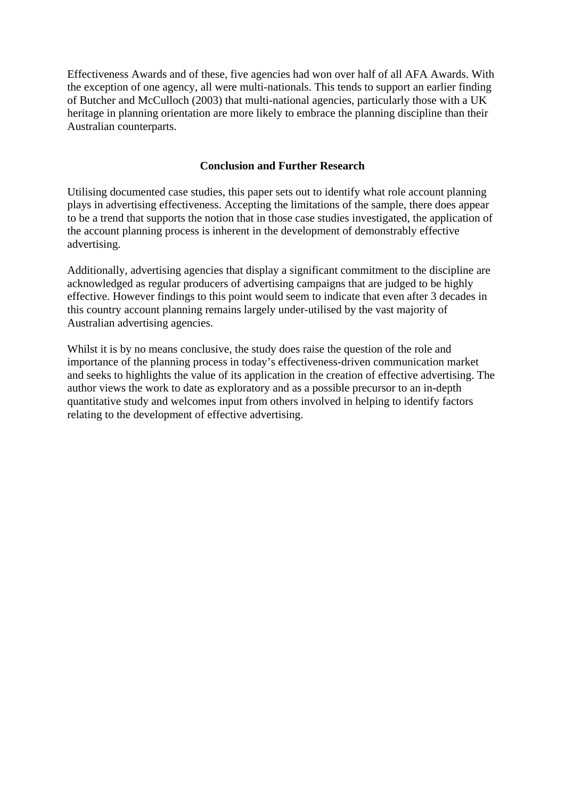Effectiveness Awards and of these, five agencies had won over half of all AFA Awards. With the exception of one agency, all were multi-nationals. This tends to support an earlier finding of Butcher and McCulloch (2003) that multi-national agencies, particularly those with a UK heritage in planning orientation are more likely to embrace the planning discipline than their Australian counterparts.

# **Conclusion and Further Research**

Utilising documented case studies, this paper sets out to identify what role account planning plays in advertising effectiveness. Accepting the limitations of the sample, there does appear to be a trend that supports the notion that in those case studies investigated, the application of the account planning process is inherent in the development of demonstrably effective advertising.

Additionally, advertising agencies that display a significant commitment to the discipline are acknowledged as regular producers of advertising campaigns that are judged to be highly effective. However findings to this point would seem to indicate that even after 3 decades in this country account planning remains largely under-utilised by the vast majority of Australian advertising agencies.

Whilst it is by no means conclusive, the study does raise the question of the role and importance of the planning process in today's effectiveness-driven communication market and seeks to highlights the value of its application in the creation of effective advertising. The author views the work to date as exploratory and as a possible precursor to an in-depth quantitative study and welcomes input from others involved in helping to identify factors relating to the development of effective advertising.